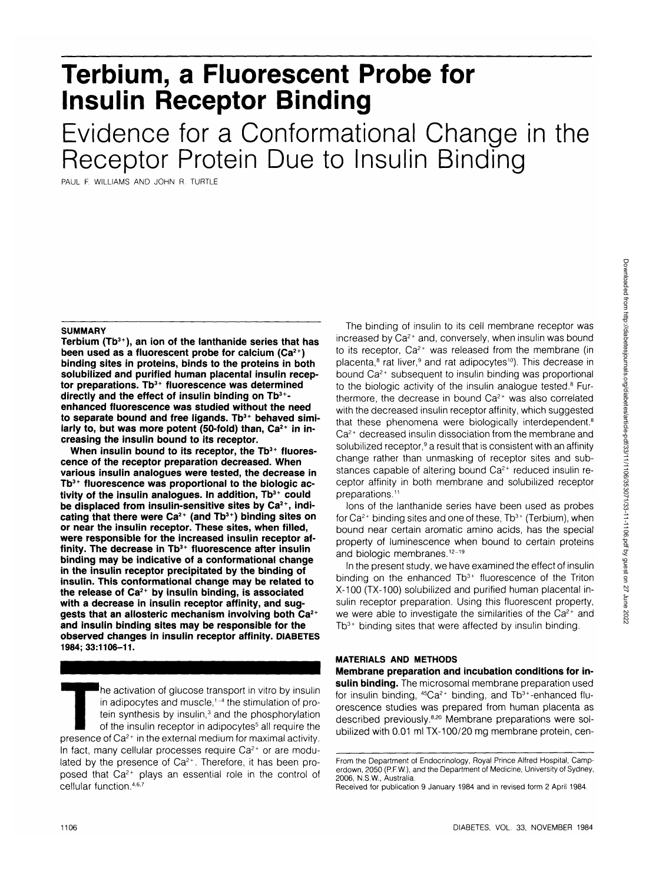# **Terbium, a Fluorescent Probe for Insulin Receptor Binding**

Evidence for a Conformational Change in the Receptor Protein Due to Insulin Binding

PAUL F. WILLIAMS AND JOHN R. TURTLE

#### **SUMMARY**

**Terbium (Tb3+), an ion of the lanthanide series that has been used as a fluorescent probe for calcium (Ca2+) binding sites in proteins, binds to the proteins in both solubilized and purified human placental insulin receptor preparations. Tb3+ fluorescence was determined directly and the effect of insulin binding on Tb3+ enhanced fluorescence was studied without the need to separate bound and free ligands. Tb3+ behaved similarly to, but was more potent (50-fold) than, Ca2+ in increasing the insulin bound to its receptor.**

**When insulin bound to its receptor, the Tb3+ fluorescence of the receptor preparation decreased. When various insulin analogues were tested, the decrease in Tb3+ fluorescence was proportional to the biologic activity of the insulin analogues. In addition, Tb3+ could be displaced from insulin-sensitive sites by Ca2+, indicating that there were Ca2+ (and Tb3+) binding sites on or near the insulin receptor. These sites, when filled, were responsible for the increased insulin receptor affinity. The decrease in Tb3+ fluorescence after insulin binding may be indicative of a conformational change in the insulin receptor precipitated by the binding of insulin. This conformational change may be related to the release of Ca2+ by insulin binding, is associated with a decrease in insulin receptor affinity, and suggests that an allosteric mechanism involving both Ca2+ and insulin binding sites may be responsible for the observed changes in insulin receptor affinity. DIABETES 1984; 33:1106-11.**

The activation of glucose transport in vitro by insulin in adipocytes and muscle,<sup>1-4</sup> the stimulation of protein synthesis by insulin,<sup>3</sup> and the phosphorylation of the insulin receptor in adipocytes<sup>5</sup> all require the presence of Ca<sup>2+</sup> in the external medium for maximal activity. In fact, many cellular processes require Ca<sup>2+</sup> or are modulated by the presence of  $Ca^{2+}$ . Therefore, it has been proposed that Ca<sup>2+</sup> plays an essential role in the control of cellular function.<sup>4,6,7</sup>

The binding of insulin to its cell membrane receptor was increased by Ca<sup>2+</sup> and, conversely, when insulin was bound to its receptor,  $Ca^{2+}$  was released from the membrane (in placenta,<sup>8</sup> rat liver,<sup>9</sup> and rat adipocytes<sup>10</sup>). This decrease in bound Ca<sup>2+</sup> subsequent to insulin binding was proportional to the biologic activity of the insulin analogue tested.<sup>8</sup> Furthermore, the decrease in bound  $Ca<sup>2+</sup>$  was also correlated with the decreased insulin receptor affinity, which suggested that these phenomena were biologically interdependent.<sup>8</sup> Ca<sup>2+</sup> decreased insulin dissociation from the membrane and solubilized receptor,<sup>9</sup> a result that is consistent with an affinity change rather than unmasking of receptor sites and substances capable of altering bound Ca<sup>2+</sup> reduced insulin receptor affinity in both membrane and solubilized receptor preparations.11

Ions of the lanthanide series have been used as probes for Ca<sup>2+</sup> binding sites and one of these, Tb<sup>3+</sup> (Terbium), when bound near certain aromatic amino acids, has the special property of luminescence when bound to certain proteins and biologic membranes.<sup>12-19</sup>

In the present study, we have examined the effect of insulin binding on the enhanced Tb<sup>3+</sup> fluorescence of the Triton X-100 (TX-100) solubilized and purified human placental insulin receptor preparation. Using this fluorescent property, we were able to investigate the similarities of the Ca<sup>2+</sup> and Tb<sup>3+</sup> binding sites that were affected by insulin binding.

## **MATERIALS AND METHODS**

**Membrane preparation and incubation conditions for insulin binding.** The microsomal membrane preparation used for insulin binding, <sup>45</sup>Ca<sup>2+</sup> binding, and Tb<sup>3+</sup>-enhanced fluorescence studies was prepared from human placenta as described previously.<sup>8,20</sup> Membrane preparations were solubilized with 0.01 ml TX-100/20 mg membrane protein, cen-

From the Department of Endocrinology, Royal Prince Alfred Hospital, Camperdown, 2050 (P.F.W.), and the Department of Medicine, University of Sydney, 2006, N.S.W., Australia.

Received for publication 9 January 1984 and in revised form 2 April 1984.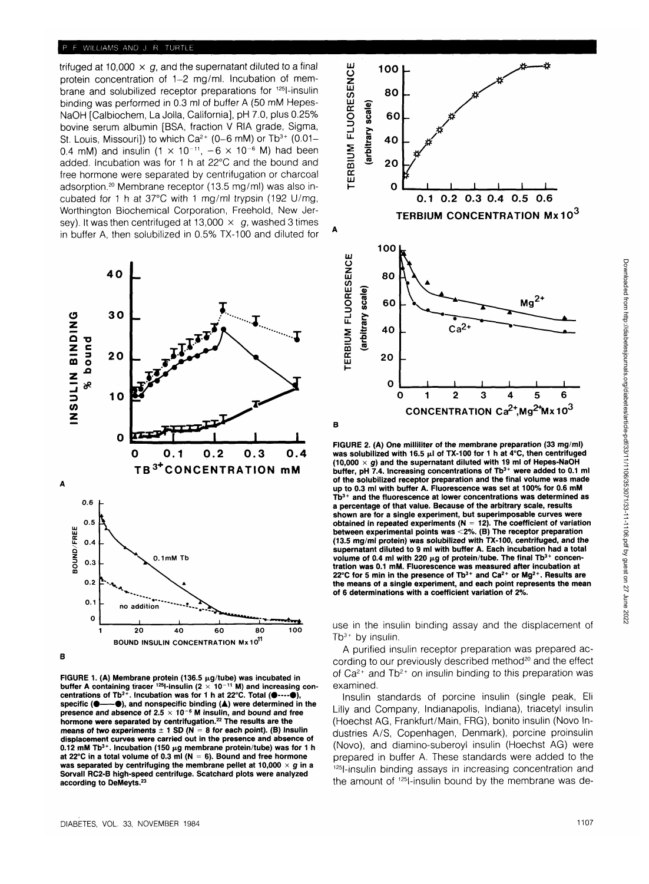#### P. F. WILLIAMS AND J. R. TURTLE

trifuged at 10,000  $\times$  g, and the supernatant diluted to a final protein concentration of 1-2 mg/ml. Incubation of membrane and solubilized receptor preparations for <sup>125</sup>l-insulin binding was performed in 0.3 ml of buffer A (50 mM Hepes-NaOH [Calbiochem, La Jolla, California], pH 7.0, plus 0.25% bovine serum albumin [BSA, fraction V RIA grade, Sigma, St. Louis, Missouri]) to which Ca<sup>2+</sup> (0–6 mM) or Tb<sup>3+</sup> (0.01– 0.4 mM) and insulin  $(1 \times 10^{-11}, -6 \times 10^{-6}$  M) had been added. Incubation was for 1 h at 22°C and the bound and free hormone were separated by centrifugation or charcoal adsorption.<sup>20</sup> Membrane receptor (13.5 mg/ml) was also incubated for 1 h at 37°C with 1 mg/ml trypsin (192 U/mg, Worthington Biochemical Corporation, Freehold, New Jersey). It was then centrifuged at 13,000  $\times$  g, washed 3 times in buffer A, then solubilized in 0.5% TX-100 and diluted for



FIGURE 1. (A) Membrane protein (136.5 µg/tube) was incubated in buffer A containing tracer <sup>125</sup>l-insulin (2  $\times$  10<sup>–11</sup> M) and increasing concentrations of Tb<sup>3+</sup>. Incubation was for 1 h at 22<sup>o</sup>C. Total ( $\bigcirc$ ---- $\bigcirc$ ), and nonspecific binding ( $\bigtriangleup$ ) were determined  $\bullet$ ), and nonspecific binding (A) were determined in the **presence and absence of 2.5 x 10 <sup>6</sup> M insulin, and bound and free hormone were separated by centrifugation.<sup>22</sup> The results are the** means of two experiments  $\pm$  1 SD ( $N = 8$  for each point). (B) Insulin **displacement curves were carried out in the presence and absence of 0.12 mM Tb3+. Incubation (150 fig membrane protein/tube) was for 1 h at 22°C in a total volume of 0.3 ml (N = 6). Bound and free hormone** was separated by centrifuging the membrane pellet at  $10,000 \times g$  in a **Sorvall RC2-B high-speed centrifuge. Scatchard plots were analyzed according to DeMeyts.23**



**FIGURE 2. (A) One milliliter of the membrane preparation (33 mg/ml)** was solubilized with 16.5 µl of TX-100 for 1 h at 4°C, then centrifuged **(10,000 x g) and the supernatant diluted with 19 ml of Hepes-NaOH buffer, pH 7.4. Increasing concentrations of Tb3+ were added to 0.1 ml of the solubilized receptor preparation and the final volume was made up to 0.3 ml with buffer A. Fluorescence was set at 100% for 0.6 mM Tb3+ and the fluorescence at lower concentrations was determined as a percentage of that value. Because of the arbitrary scale, results shown are for a single experiment, but superimposable curves were obtained in repeated experiments (N = 12). The coefficient of variation between experimental points was <2%. (B) The receptor preparation (13.5 mg/ml protein) was solubilized with TX-100, centrifuged, and the supernatant diluted to 9 ml with buffer A. Each incubation had a total** volume of 0.4 ml with 220  $\mu$ g of protein/tube. The final Tb<sup>3+</sup> concen**tration was 0.1 mM. Fluorescence was measured after incubation at 22°C for 5 min in the presence of Tb3+ and Ca2+ or Mg2+. Results are the means of a single experiment, and each point represents the mean of 6 determinations with a coefficient variation of 2%.**

use in the insulin binding assay and the displacement of  $Tb^{3+}$  by insulin.

A purified insulin receptor preparation was prepared according to our previously described method<sup>20</sup> and the effect of Ca<sup>2+</sup> and Tb<sup>2+</sup> on insulin binding to this preparation was examined.

Insulin standards of porcine insulin (single peak, Eli Lilly and Company, Indianapolis, Indiana), triacetyl insulin (Hoechst AG, Frankfurt/Main, FRG), bonito insulin (Novo Industries A/S, Copenhagen, Denmark), porcine proinsulin (Novo), and diamino-suberoyl insulin (Hoechst AG) were prepared in buffer A. These standards were added to the <sup>125</sup>l-insulin binding assays in increasing concentration and the amount of <sup>125</sup>l-insulin bound by the membrane was de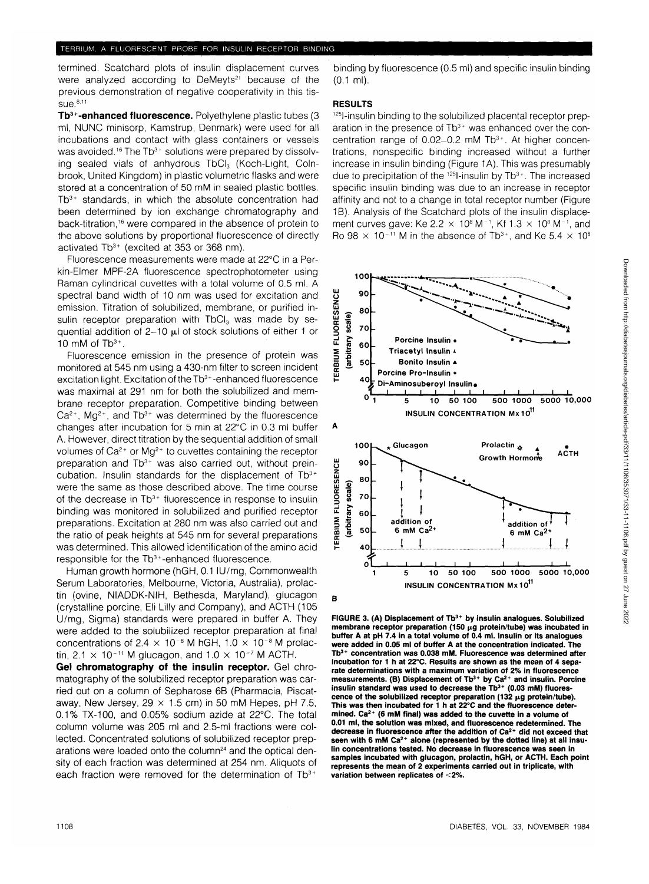termined. Scatchard plots of insulin displacement curves were analyzed according to DeMeyts<sup>21</sup> because of the previous demonstration of negative cooperativity in this tis- $Sue.$ <sup>8,11</sup>

**Tb3+-enhanced fluorescence.** Polyethylene plastic tubes (3 ml, NUNC minisorp, Kamstrup, Denmark) were used for all incubations and contact with glass containers or vessels was avoided.<sup>16</sup> The Tb<sup>3+</sup> solutions were prepared by dissolving sealed vials of anhydrous TbCl<sub>3</sub> (Koch-Light, Colnbrook, United Kingdom) in plastic volumetric flasks and were stored at a concentration of 50 mM in sealed plastic bottles. Tb<sup>3+</sup> standards, in which the absolute concentration had been determined by ion exchange chromatography and back-titration,<sup>16</sup> were compared in the absence of protein to the above solutions by proportional fluorescence of directly activated  $Tb^{3+}$  (excited at 353 or 368 nm).

Fluorescence measurements were made at 22°C in a Perkin-Elmer MPF-2A fluorescence spectrophotometer using Raman cylindrical cuvettes with a total volume of 0.5 ml. A spectral band width of 10 nm was used for excitation and emission. Titration of solubilized, membrane, or purified insulin receptor preparation with TbCI<sub>3</sub> was made by sequential addition of 2-10  $\mu$ l of stock solutions of either 1 or 10 mM of  $\mathsf{Tb}^{3+}$ .

Fluorescence emission in the presence of protein was monitored at 545 nm using a 430-nm filter to screen incident excitation light. Excitation of the Tb<sup>3+</sup>-enhanced fluorescence was maximal at 291 nm for both the solubilized and membrane receptor preparation. Competitive binding between  $Ca^{2+}$ , Mg<sup>2+</sup>, and Tb<sup>3+</sup> was determined by the fluorescence changes after incubation for 5 min at 22°C in 0.3 ml buffer A. However, direct titration by the sequential addition of small volumes of  $Ca^{2+}$  or Mg<sup>2+</sup> to cuvettes containing the receptor preparation and Tb<sup>3+</sup> was also carried out, without preincubation. Insulin standards for the displacement of Tb3+ were the same as those described above. The time course of the decrease in Tb<sup>3+</sup> fluorescence in response to insulin binding was monitored in solubilized and purified receptor preparations. Excitation at 280 nm was also carried out and the ratio of peak heights at 545 nm for several preparations was determined. This allowed identification of the amino acid responsible for the Tb3+-enhanced fluorescence.

Human growth hormone (hGH, 0.1 ILJ/mg, Commonwealth Serum Laboratories, Melbourne, Victoria, Australia), prolactin (ovine, NIADDK-NIH, Bethesda, Maryland), glucagon (crystalline porcine, Eli Lilly and Company), and ACTH (105 U/mg, Sigma) standards were prepared in buffer A. They were added to the solubilized receptor preparation at final concentrations of  $2.4 \times 10^{-8}$  M hGH,  $1.0 \times 10^{-8}$  M prolactin, 2.1  $\times$  10<sup>-11</sup> M glucagon, and 1.0  $\times$  10<sup>-7</sup> M ACTH.

**Gel chromatography of the insulin receptor.** Gel chromatography of the solubilized receptor preparation was carried out on a column of Sepharose 6B (Pharmacia, Piscataway, New Jersey,  $29 \times 1.5$  cm) in 50 mM Hepes, pH 7.5, 0.1% TX-100, and 0.05% sodium azide at 22°C. The total column volume was 205 ml and 2.5-ml fractions were collected. Concentrated solutions of solubilized receptor preparations were loaded onto the column<sup>24</sup> and the optical density of each fraction was determined at 254 nm. Aliquots of each fraction were removed for the determination of  $Tb<sup>3+</sup>$ 

binding by fluorescence (0.5 ml) and specific insulin binding (0.1 ml).

## **RESULTS**

<sup>125</sup>l-insulin binding to the solubilized placental receptor preparation in the presence of Tb<sup>3+</sup> was enhanced over the concentration range of 0.02-0.2 mM Tb<sup>3+</sup>. At higher concentrations, nonspecific binding increased without a further increase in insulin binding (Figure 1A). This was presumably due to precipitation of the 125l-insulin by Tb3+. The increased specific insulin binding was due to an increase in receptor affinity and not to a change in total receptor number (Figure 1B). Analysis of the Scatchard plots of the insulin displacement curves gave: Ke 2.2  $\times$  10<sup>8</sup> M<sup>-1</sup>, Kf 1.3  $\times$  10<sup>8</sup> M<sup>-1</sup>, and Ro 98  $\times$  10<sup>-11</sup> M in the absence of Tb<sup>3+</sup>, and Ke 5.4  $\times$  10<sup>8</sup>



Downloaded from http://diabetesjournals.org/diabetes/article-pdf/33/11/1106/353071/33-11-1106.pdf by guest on 27 June 2022 Downloaded from http://diabetesjournals.org/diabetes/article-pdf/33/11/1106/353071/33-11-1106.pdf by guest on 27 June 2022

**FIGURE 3. (A) Displacement of Tb3+ by insulin analogues. Solubilized** membrane receptor preparation (150 µg protein/tube) was incubated in **buffer A at pH 7.4 in a total volume of 0.4 ml. Insulin or its analogues were added in 0.05 ml of buffer A at the concentration indicated. The Tb3+ concentration was 0.038 mM. Fluorescence was determined after incubation for 1 h at 22°C. Results are shown as the mean of 4 separate determinations with a maximum variation of 2% in fluorescence measurements. (B) Displacement of Tb3+ by Ca2+ and insulin. Porcine insulin standard was used to decrease the Tb3+ (0.03 mM) fluores**cence of the solubilized receptor preparation (132 μg protein/tube).<br>This was then incubated for 1 h at 22°C and the fluorescence deter**mined. Ca2+ (6 mM final) was added to the cuvette in a volume of 0.01 ml, the solution was mixed, and fluorescence redetermined. The decrease in fluorescence after the addition of Ca2+ did not exceed that** seen with 6 mM Ca<sup>2+</sup> alone (represented by the dotted line) at all insu**lin concentrations tested. No decrease in fluorescence was seen in samples incubated with glucagon, prolactin, hGH, or ACTH. Each point represents the mean of 2 experiments carried out in triplicate, with variation between replicates of <2%.**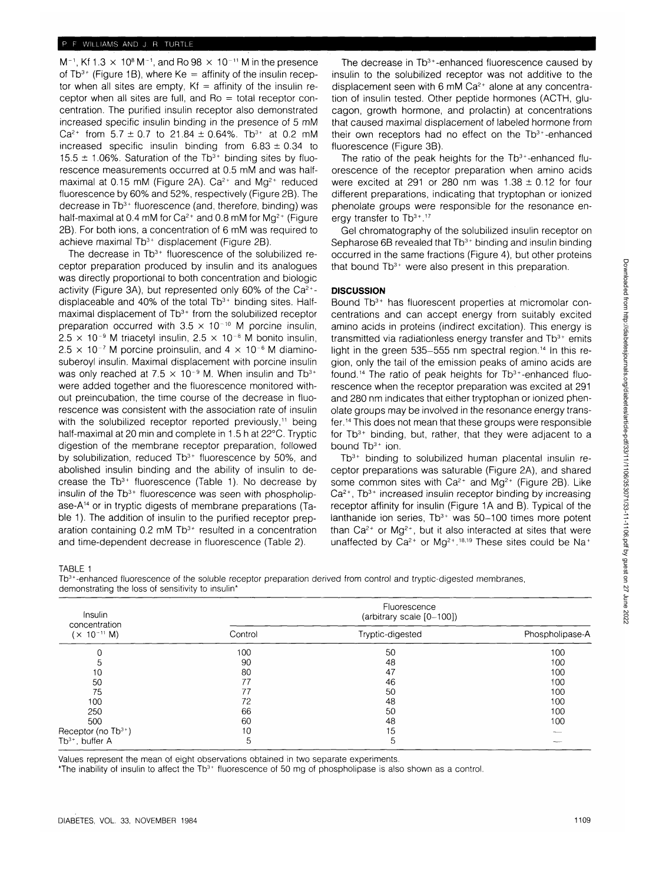M<sup>-1</sup>, Kf 1.3  $\times$  10<sup>8</sup> M<sup>-1</sup>, and Ro 98  $\times$  10<sup>-11</sup> M in the presence of  $Tb^{3+}$  (Figure 1B), where Ke = affinity of the insulin receptor when all sites are empty,  $Kf =$  affinity of the insulin receptor when all sites are full, and  $Ro =$  total receptor concentration. The purified insulin receptor also demonstrated increased specific insulin binding in the presence of 5 mM Ca<sup>2+</sup> from  $5.7 \pm 0.7$  to  $21.84 \pm 0.64$ %. Tb<sup>3+</sup> at 0.2 mM increased specific insulin binding from  $6.83 \pm 0.34$  to 15.5  $\pm$  1.06%. Saturation of the Tb<sup>3+</sup> binding sites by fluorescence measurements occurred at 0.5 mM and was halfmaximal at 0.15 mM (Figure 2A).  $Ca^{2+}$  and Mg<sup>2+</sup> reduced fluorescence by 60% and 52%, respectively (Figure 2B). The decrease in Tb<sup>3+</sup> fluorescence (and, therefore, binding) was half-maximal at 0.4 mM for  $Ca^{2+}$  and 0.8 mM for Mg<sup>2+</sup> (Figure 2B). For both ions, a concentration of 6 mM was required to achieve maximal Tb<sup>3+</sup> displacement (Figure 2B).

The decrease in Tb<sup>3+</sup> fluorescence of the solubilized receptor preparation produced by insulin and its analogues was directly proportional to both concentration and biologic activity (Figure 3A), but represented only 60% of the Ca<sup>2+</sup>displaceable and 40% of the total Tb<sup>3+</sup> binding sites. Halfmaximal displacement of Tb<sup>3+</sup> from the solubilized receptor preparation occurred with  $3.5 \times 10^{-10}$  M porcine insulin,  $2.5 \times 10^{-9}$  M triacetyl insulin,  $2.5 \times 10^{-8}$  M bonito insulin,  $2.5 \times 10^{-7}$  M porcine proinsulin, and  $4 \times 10^{-6}$  M diaminosuberoyl insulin. Maximal displacement with porcine insulin was only reached at 7.5  $\times$  10<sup>-9</sup> M. When insulin and Tb<sup>3+</sup> were added together and the fluorescence monitored without preincubation, the time course of the decrease in fluorescence was consistent with the association rate of insulin with the solubilized receptor reported previously,<sup>11</sup> being half-maximal at 20 min and complete in 1.5 h at 22°C. Tryptic digestion of the membrane receptor preparation, followed by solubilization, reduced Tb<sup>3+</sup> fluorescence by 50%, and abolished insulin binding and the ability of insulin to decrease the Tb3+ fluorescence (Table 1). No decrease by insulin of the Tb<sup>3+</sup> fluorescence was seen with phospholipase-A14 or in tryptic digests of membrane preparations (Table 1). The addition of insulin to the purified receptor preparation containing 0.2 mM Tb<sup>3+</sup> resulted in a concentration and time-dependent decrease in fluorescence (Table 2).

The decrease in Tb<sup>3+</sup>-enhanced fluorescence caused by insulin to the solubilized receptor was not additive to the displacement seen with 6 mM Ca<sup>2+</sup> alone at any concentration of insulin tested. Other peptide hormones (ACTH, glucagon, growth hormone, and prolactin) at concentrations that caused maximal displacement of labeled hormone from their own receptors had no effect on the  $\text{Tb}^{3+}$ -enhanced fluorescence (Figure 3B).

The ratio of the peak heights for the  $Tb<sup>3+</sup>$ -enhanced fluorescence of the receptor preparation when amino acids were excited at 291 or 280 nm was  $1.38 \pm 0.12$  for four different preparations, indicating that tryptophan or ionized phenolate groups were responsible for the resonance energy transfer to Tb<sup>3+</sup>.<sup>17</sup>

Gel chromatography of the solubilized insulin receptor on Sepharose 6B revealed that Tb<sup>3+</sup> binding and insulin binding occurred in the same fractions (Figure 4), but other proteins that bound Tb<sup>3+</sup> were also present in this preparation.

## **DISCUSSION**

Bound Tb<sup>3+</sup> has fluorescent properties at micromolar concentrations and can accept energy from suitably excited amino acids in proteins (indirect excitation). This energy is transmitted via radiationless energy transfer and  $\text{Tb}^{3+}$  emits light in the green 535-555 nm spectral region.<sup>14</sup> In this region, only the tail of the emission peaks of amino acids are found.<sup>14</sup> The ratio of peak heights for Tb<sup>3+</sup>-enhanced fluorescence when the receptor preparation was excited at 291 and 280 nm indicates that either tryptophan or ionized phenolate groups may be involved in the resonance energy transfer.14 This does not mean that these groups were responsible for Tb<sup>3+</sup> binding, but, rather, that they were adjacent to a bound Tb<sup>3+</sup> ion.

Tb<sup>3+</sup> binding to solubilized human placental insulin receptor preparations was saturable (Figure 2A), and shared some common sites with  $Ca^{2+}$  and  $Mg^{2+}$  (Figure 2B). Like Ca<sup>2+</sup>, Tb<sup>3+</sup> increased insulin receptor binding by increasing receptor affinity for insulin (Figure 1A and B). Typical of the lanthanide ion series, Tb<sup>3+</sup> was 50-100 times more potent than  $Ca^{2+}$  or Mg<sup>2+</sup>, but it also interacted at sites that were unaffected by  $Ca^{2+}$  or Mg<sup>2+</sup>.<sup>18,19</sup> These sites could be Na+

TABLE 1

Tb3+-enhanced fluorescence of the soluble receptor preparation derived from control and tryptic-digested membranes, demonstrating the loss of sensitivity to insulin\*

| Insulin<br>concentration<br>$(x 10^{-11} M)$ | Fluorescence<br>(arbitrary scale [0-100]) |                  |                 |
|----------------------------------------------|-------------------------------------------|------------------|-----------------|
|                                              | Control                                   | Tryptic-digested | Phospholipase-A |
|                                              | 100                                       | 50               | 100             |
|                                              | 90                                        | 48               | 100             |
| 10                                           | 80                                        | 47               | 100             |
| 50                                           | 77                                        | 46               | 100             |
| 75                                           | 77                                        | 50               | 100             |
| 100                                          | 72                                        | 48               | 100             |
| 250                                          | 66                                        | 50               | 100             |
| 500                                          | 60                                        | 48               | 100             |
| Receptor (no $Tb^{3+}$ )                     | 10                                        | 15               |                 |
| $Tb^{3+}$ , buffer A                         | 5                                         | ১                |                 |
|                                              |                                           |                  |                 |

Values represent the mean of eight observations obtained in two separate experiments.

The inability of insulin to affect the Tb<sup>3+</sup> fluorescence of 50 mg of phospholipase is also shown as a control.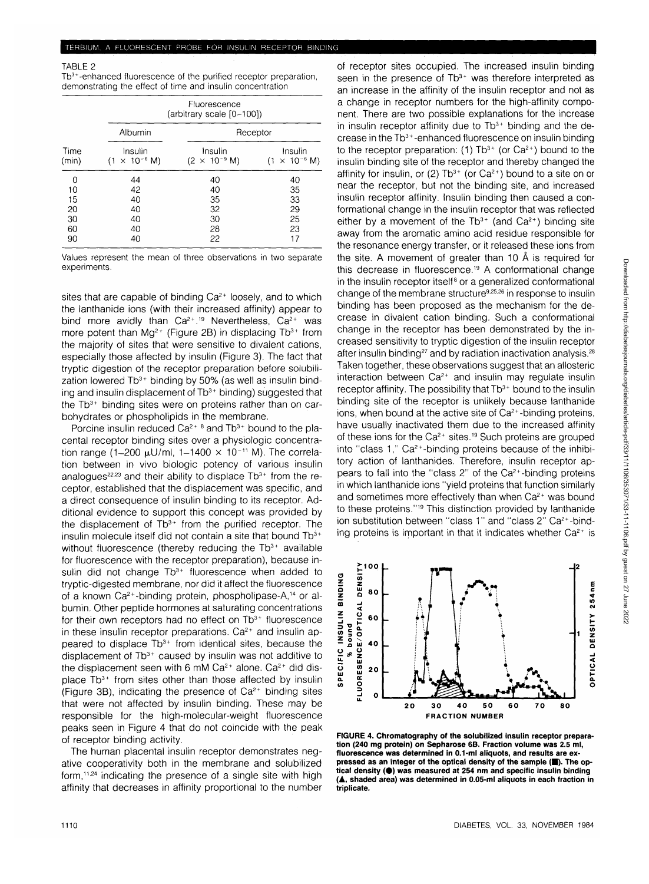## TABLE 2

Tb3+-enhanced fluorescence of the purified receptor preparation, demonstrating the effect of time and insulin concentration

|               | Fluorescence<br>(arbitrary scale [0-100])          |                                   |                                         |  |
|---------------|----------------------------------------------------|-----------------------------------|-----------------------------------------|--|
| Time<br>(min) | Albumin<br>Insulin<br>$\times$ 10 <sup>-6</sup> M) | Receptor                          |                                         |  |
|               |                                                    | Insulin<br>$(2 \times 10^{-9}$ M) | Insulin<br>$\times$ 10 <sup>-6</sup> M) |  |
| 0             | 44                                                 | 40                                | 40                                      |  |
| 10            | 42                                                 | 40                                | 35                                      |  |
| 15            | 40                                                 | 35                                | 33                                      |  |
| 20            | 40                                                 | 32                                | 29                                      |  |
| 30            | 40                                                 | 30                                | 25                                      |  |
| 60            | 40                                                 | 28                                | 23                                      |  |
| 90            | 40                                                 | 22                                | 17                                      |  |

Values represent the mean of three observations in two separate experiments.

sites that are capable of binding  $Ca^{2+}$  loosely, and to which the lanthanide ions (with their increased affinity) appear to bind more avidly than Ca<sup>2+</sup>.<sup>19</sup> Nevertheless, Ca<sup>2+</sup> was more potent than Mg<sup>2+</sup> (Figure 2B) in displacing  $\text{Tb}^{3+}$  from the majority of sites that were sensitive to divalent cations, especially those affected by insulin (Figure 3). The fact that tryptic digestion of the receptor preparation before solubilization lowered Tb<sup>3+</sup> binding by 50% (as well as insulin binding and insulin displacement of Tb<sup>3+</sup> binding) suggested that the Tb<sup>3+</sup> binding sites were on proteins rather than on carbohydrates or phospholipids in the membrane.

Porcine insulin reduced  $Ca^{2+8}$  and Tb<sup>3+</sup> bound to the placental receptor binding sites over a physiologic concentration range (1-200  $\mu$ U/ml, 1-1400  $\times$  10<sup>-11</sup> M). The correlation between in vivo biologic potency of various insulin analogues<sup>22,23</sup> and their ability to displace  $\text{Th}^{3+}$  from the receptor, established that the displacement was specific, and a direct consequence of insulin binding to its receptor. Additional evidence to support this concept was provided by the displacement of Tb<sup>3+</sup> from the purified receptor. The insulin molecule itself did not contain a site that bound  $\text{Tb}^{3+}$ without fluorescence (thereby reducing the Tb<sup>3+</sup> available for fluorescence with the receptor preparation), because insulin did not change Tb<sup>3+</sup> fluorescence when added to tryptic-digested membrane, nor did it affect the fluorescence of a known Ca<sup>2+</sup>-binding protein, phospholipase-A,<sup>14</sup> or albumin. Other peptide hormones at saturating concentrations for their own receptors had no effect on Tb<sup>3+</sup> fluorescence in these insulin receptor preparations.  $Ca^{2+}$  and insulin appeared to displace Tb<sup>3+</sup> from identical sites, because the .<br>displacement of Tb<sup>3+</sup> caused by insulin was not additive to the displacement seen with 6 mM Ca<sup>2+</sup> alone. Ca<sup>2+</sup> did displace Tb<sup>3+</sup> from sites other than those affected by insulin (Figure 3B), indicating the presence of  $Ca^{2+}$  binding sites that were not affected by insulin binding. These may be responsible for the high-molecular-weight fluorescence peaks seen in Figure 4 that do not coincide with the peak of receptor binding activity.

The human placental insulin receptor demonstrates negative cooperativity both in the membrane and solubilized form,<sup>11,24</sup> indicating the presence of a single site with high affinity that decreases in affinity proportional to the number of receptor sites occupied. The increased insulin binding seen in the presence of Tb<sup>3+</sup> was therefore interpreted as an increase in the affinity of the insulin receptor and not as a change in receptor numbers for the high-affinity component. There are two possible explanations for the increase in insulin receptor affinity due to Tb<sup>3+</sup> binding and the decrease in the Tb3+-enhanced fluorescence on insulin binding to the receptor preparation:  $(1)$  Tb<sup>3+</sup> (or Ca<sup>2+</sup>) bound to the insulin binding site of the receptor and thereby changed the affinity for insulin, or (2)  $Tb^{3+}$  (or  $Ca^{2+}$ ) bound to a site on or near the receptor, but not the binding site, and increased insulin receptor affinity. Insulin binding then caused a conformational change in the insulin receptor that was reflected either by a movement of the  $Tb^{3+}$  (and  $Ca^{2+}$ ) binding site away from the aromatic amino acid residue responsible for the resonance energy transfer, or it released these ions from the site. A movement of greater than 10 Å is required for this decrease in fluorescence.<sup>19</sup> A conformational change in the insulin receptor itself<sup>8</sup> or a generalized conformational change of the membrane structure<sup>9,25,26</sup> in response to insulin binding has been proposed as the mechanism for the decrease in divalent cation binding. Such a conformational change in the receptor has been demonstrated by the increased sensitivity to tryptic digestion of the insulin receptor after insulin binding<sup>27</sup> and by radiation inactivation analysis.<sup>28</sup> Taken together, these observations suggest that an allosteric interaction between  $Ca^{2+}$  and insulin may regulate insulin receptor affinity. The possibility that Tb<sup>3+</sup> bound to the insulin binding site of the receptor is unlikely because lanthanide ions, when bound at the active site of  $Ca<sup>2+</sup>$ -binding proteins, have usually inactivated them due to the increased affinity of these ions for the  $Ca^{2+}$  sites.<sup>19</sup> Such proteins are grouped into "class  $1$ ," Ca<sup>2+</sup>-binding proteins because of the inhibitory action of lanthanides. Therefore, insulin receptor appears to fall into the "class 2" of the  $Ca<sup>2+</sup>$ -binding proteins in which lanthanide ions "yield proteins that function similarly and sometimes more effectively than when  $Ca^{2+}$  was bound to these proteins."<sup>19</sup> This distinction provided by lanthanide ion substitution between "class 1" and "class 2" Ca<sup>2+</sup>-binding proteins is important in that it indicates whether  $Ca^{2+}$  is



**FIGURE 4. Chromatography of the solubilized insulin receptor preparation (240 mg protein) on Sepharose 6B. Fraction volume was 2.5 ml, fluorescence was determined in 0.1-ml aliquots, and results are ex**pressed as an integer of the optical density of the sample ( $\blacksquare$ ). The op**tical density (•) was measured at 254 nm and specific insulin binding (A, shaded area) was determined in 0.05-ml aliquots in each fraction in triplicate.**